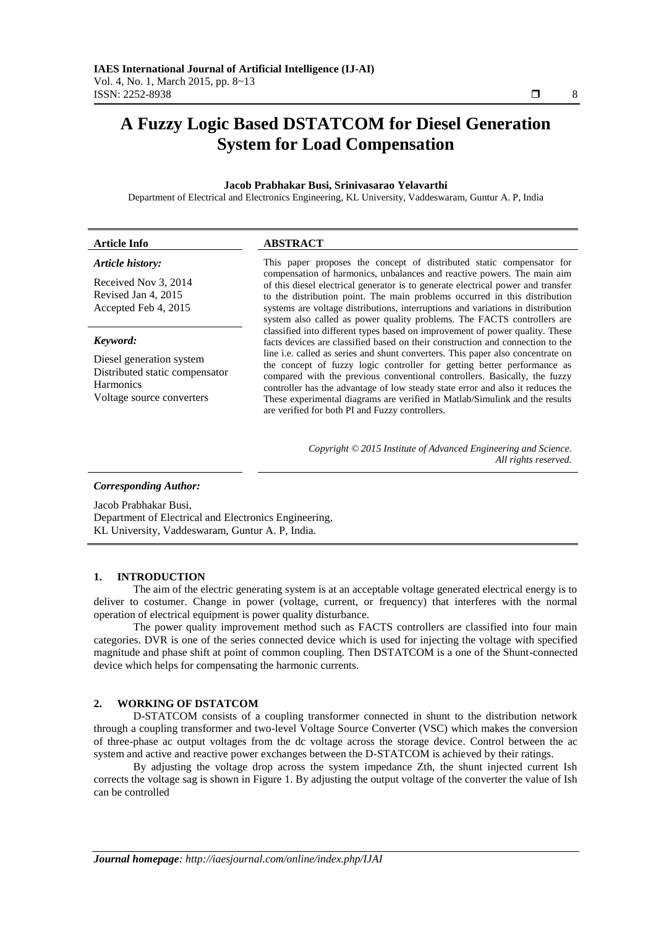# **A Fuzzy Logic Based DSTATCOM for Diesel Generation System for Load Compensation**

# **Jacob Prabhakar Busi, Srinivasarao Yelavarthi**

Department of Electrical and Electronics Engineering, KL University, Vaddeswaram, Guntur A. P, India

| <b>Article Info</b>                                                                                         | <b>ABSTRACT</b>                                                                                                                                                                                                                                                                                                                                                                                                                                             |
|-------------------------------------------------------------------------------------------------------------|-------------------------------------------------------------------------------------------------------------------------------------------------------------------------------------------------------------------------------------------------------------------------------------------------------------------------------------------------------------------------------------------------------------------------------------------------------------|
| Article history:<br>Received Nov 3, 2014<br>Revised Jan 4, 2015<br>Accepted Feb 4, 2015<br>Keyword:         | This paper proposes the concept of distributed static compensator for<br>compensation of harmonics, unbalances and reactive powers. The main aim<br>of this diesel electrical generator is to generate electrical power and transfer<br>to the distribution point. The main problems occurred in this distribution                                                                                                                                          |
|                                                                                                             | systems are voltage distributions, interruptions and variations in distribution<br>system also called as power quality problems. The FACTS controllers are<br>classified into different types based on improvement of power quality. These<br>facts devices are classified based on their construction and connection to the                                                                                                                                |
| Diesel generation system<br>Distributed static compensator<br><b>Harmonics</b><br>Voltage source converters | line i.e. called as series and shunt converters. This paper also concentrate on<br>the concept of fuzzy logic controller for getting better performance as<br>compared with the previous conventional controllers. Basically, the fuzzy<br>controller has the advantage of low steady state error and also it reduces the<br>These experimental diagrams are verified in Matlab/Simulink and the results<br>are verified for both PI and Fuzzy controllers. |

*Copyright © 2015 Institute of Advanced Engineering and Science. All rights reserved.*

#### *Corresponding Author:*

Jacob Prabhakar Busi, Department of Electrical and Electronics Engineering, KL University, Vaddeswaram, Guntur A. P, India.

## **1. INTRODUCTION**

The aim of the electric generating system is at an acceptable voltage generated electrical energy is to deliver to costumer. Change in power (voltage, current, or frequency) that interferes with the normal operation of electrical equipment is power quality disturbance.

The power quality improvement method such as FACTS controllers are classified into four main categories. DVR is one of the series connected device which is used for injecting the voltage with specified magnitude and phase shift at point of common coupling. Then DSTATCOM is a one of the Shunt-connected device which helps for compensating the harmonic currents.

#### **2. WORKING OF DSTATCOM**

D-STATCOM consists of a coupling transformer connected in shunt to the distribution network through a coupling transformer and two-level Voltage Source Converter (VSC) which makes the conversion of three-phase ac output voltages from the dc voltage across the storage device. Control between the ac system and active and reactive power exchanges between the D-STATCOM is achieved by their ratings.

By adjusting the voltage drop across the system impedance Zth, the shunt injected current Ish corrects the voltage sag is shown in Figure 1. By adjusting the output voltage of the converter the value of Ish can be controlled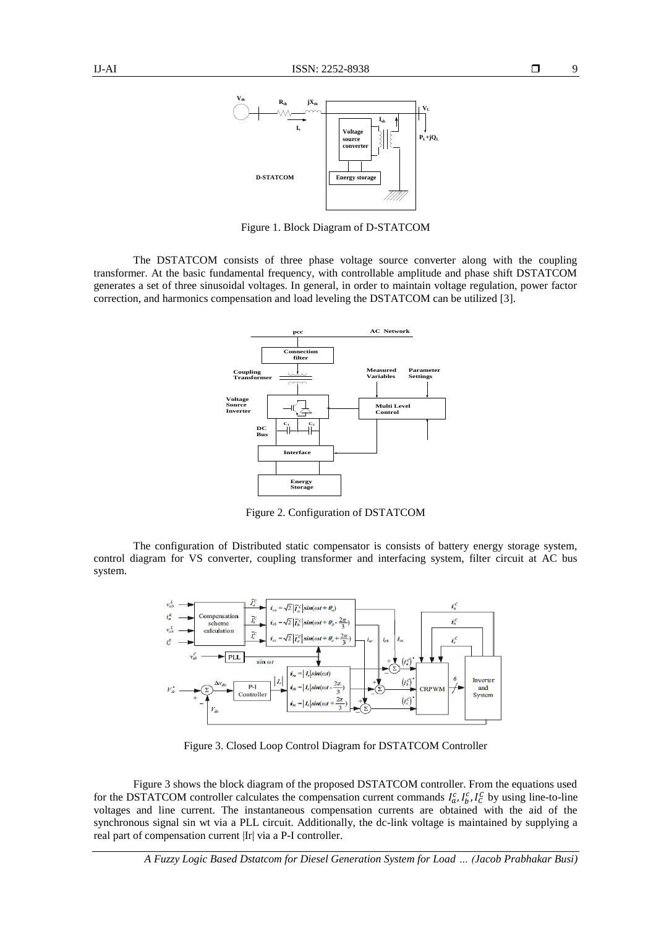

Figure 1. Block Diagram of D-STATCOM

The DSTATCOM consists of three phase voltage source converter along with the coupling transformer. At the basic fundamental frequency, with controllable amplitude and phase shift DSTATCOM generates a set of three sinusoidal voltages. In general, in order to maintain voltage regulation, power factor correction, and harmonics compensation and load leveling the DSTATCOM can be utilized [3].



Figure 2. Configuration of DSTATCOM

The configuration of Distributed static compensator is consists of battery energy storage system, control diagram for VS converter, coupling transformer and interfacing system, filter circuit at AC bus system.



Figure 3. Closed Loop Control Diagram for DSTATCOM Controller

Figure 3 shows the block diagram of the proposed DSTATCOM controller. From the equations used for the DSTATCOM controller calculates the compensation current commands  $I_a^c$ ,  $I_b^c$ ,  $I_c^c$  by using line-to-line voltages and line current. The instantaneous compensation currents are obtained with the aid of the synchronous signal sin wt via a PLL circuit. Additionally, the dc-link voltage is maintained by supplying a real part of compensation current |Ir| via a P-I controller.

9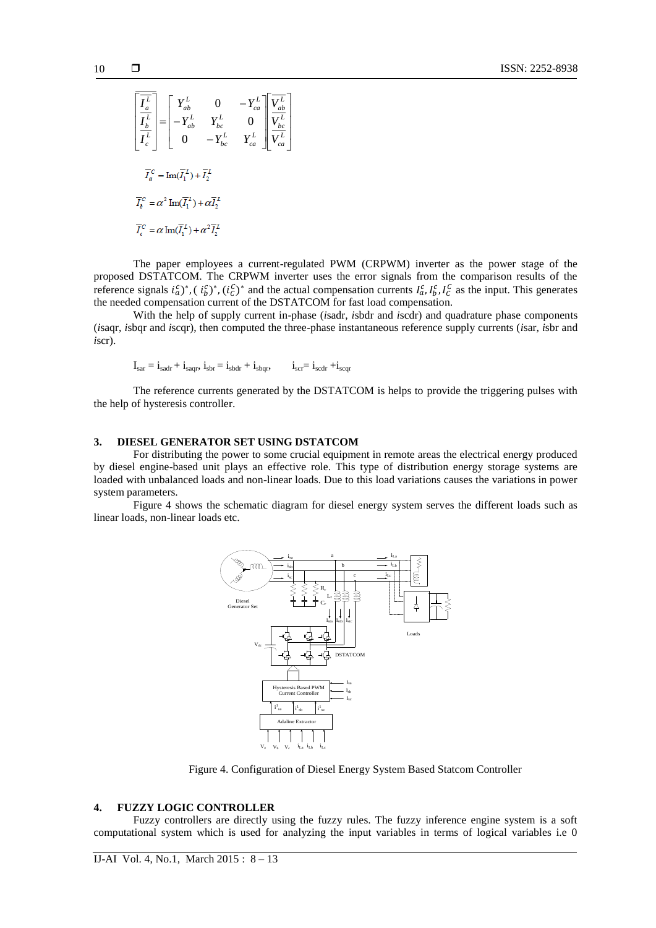$$
\begin{bmatrix}\n\overline{I_a^L} \\
\overline{I_b^L} \\
\overline{I_c^L}\n\end{bmatrix} = \begin{bmatrix}\nY_{ab}^L & 0 & -Y_{ca}^L \\
-Y_{ab}^L & Y_{bc}^L & 0 \\
0 & -Y_{bc}^L & Y_{ca}^L\n\end{bmatrix} \begin{bmatrix}\n\overline{V_{ab}^L} \\
\overline{V_{bc}^L} \\
\overline{V_{ca}^L}\n\end{bmatrix}
$$
\n
$$
\overline{I_a^C} = \text{Im}(\overline{I_1^L}) + \overline{I_2^L}
$$
\n
$$
\overline{I_c^C} = \alpha^2 \text{Im}(\overline{I_1^L}) + \alpha \overline{I_2^L}
$$
\n
$$
\overline{I_c^C} = \alpha \text{Im}(\overline{I_1^L}) + \alpha^2 \overline{I_2^L}
$$

The paper employees a current-regulated PWM (CRPWM) inverter as the power stage of the proposed DSTATCOM. The CRPWM inverter uses the error signals from the comparison results of the reference signals  $i_a^c$ ,  $(i_b^c)^*$ ,  $(i_c^c)^*$  and the actual compensation currents  $I_a^c$ ,  $I_b^c$ ,  $I_c^c$  as the input. This generates the needed compensation current of the DSTATCOM for fast load compensation.

 $\overline{\phantom{a}}$  $\overline{\phantom{a}}$ 

 $\overline{\phantom{a}}$ 

 $\rfloor$ 

With the help of supply current in-phase (*i*sadr, *i*sbdr and *i*scdr) and quadrature phase components (*i*saqr, *i*sbqr and *i*scqr), then computed the three-phase instantaneous reference supply currents (*i*sar, *i*sbr and *i*scr).

$$
I_{sar} = i_{sadr} + i_{saqr}, i_{sbr} = i_{sbdr} + i_{sbqr}, \t i_{scr} = i_{scdr} + i_{scqr}
$$

The reference currents generated by the DSTATCOM is helps to provide the triggering pulses with the help of hysteresis controller.

## **3. DIESEL GENERATOR SET USING DSTATCOM**

For distributing the power to some crucial equipment in remote areas the electrical energy produced by diesel engine-based unit plays an effective role. This type of distribution energy storage systems are loaded with unbalanced loads and non-linear loads. Due to this load variations causes the variations in power system parameters.

Figure 4 shows the schematic diagram for diesel energy system serves the different loads such as linear loads, non-linear loads etc.



Figure 4. Configuration of Diesel Energy System Based Statcom Controller

#### **4. FUZZY LOGIC CONTROLLER**

Fuzzy controllers are directly using the fuzzy rules. The fuzzy inference engine system is a soft computational system which is used for analyzing the input variables in terms of logical variables i.e 0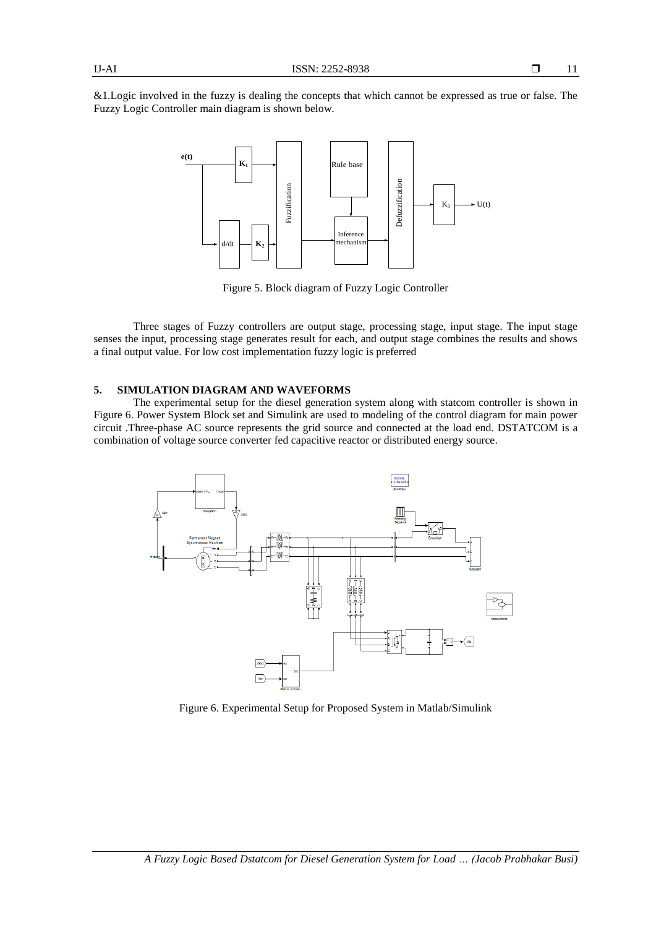&1.Logic involved in the fuzzy is dealing the concepts that which cannot be expressed as true or false. The Fuzzy Logic Controller main diagram is shown below.



Figure 5. Block diagram of Fuzzy Logic Controller

Three stages of Fuzzy controllers are output stage, processing stage, input stage. The input stage senses the input, processing stage generates result for each, and output stage combines the results and shows a final output value. For low cost implementation fuzzy logic is preferred

# **5. SIMULATION DIAGRAM AND WAVEFORMS**

The experimental setup for the diesel generation system along with statcom controller is shown in Figure 6. Power System Block set and Simulink are used to modeling of the control diagram for main power circuit .Three-phase AC source represents the grid source and connected at the load end. DSTATCOM is a combination of voltage source converter fed capacitive reactor or distributed energy source.



Figure 6. Experimental Setup for Proposed System in Matlab/Simulink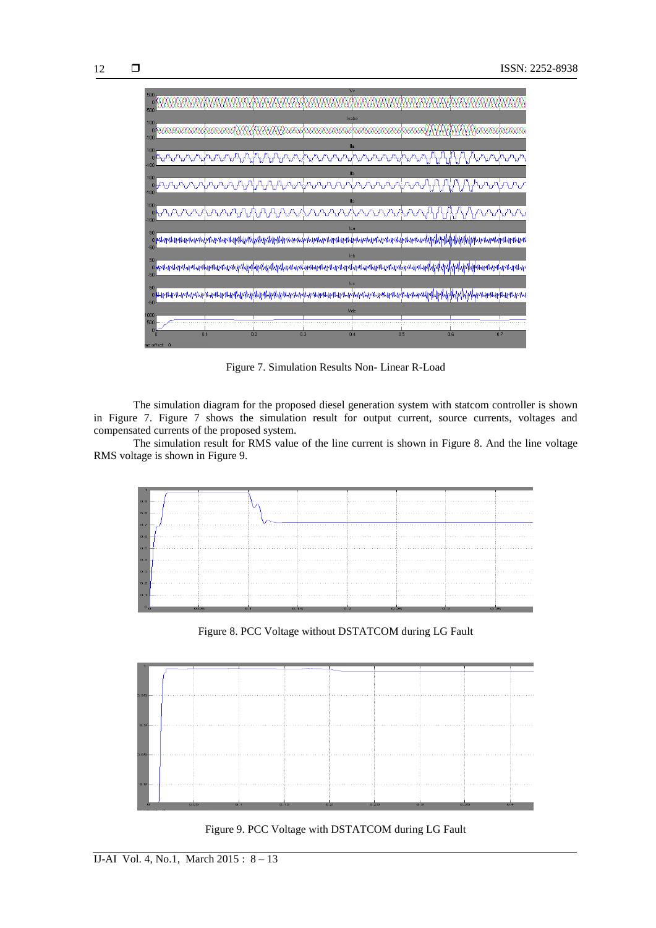

Figure 7. Simulation Results Non- Linear R-Load

The simulation diagram for the proposed diesel generation system with statcom controller is shown in Figure 7. Figure 7 shows the simulation result for output current, source currents, voltages and compensated currents of the proposed system.

The simulation result for RMS value of the line current is shown in Figure 8. And the line voltage RMS voltage is shown in Figure 9.



Figure 8. PCC Voltage without DSTATCOM during LG Fault



Figure 9. PCC Voltage with DSTATCOM during LG Fault